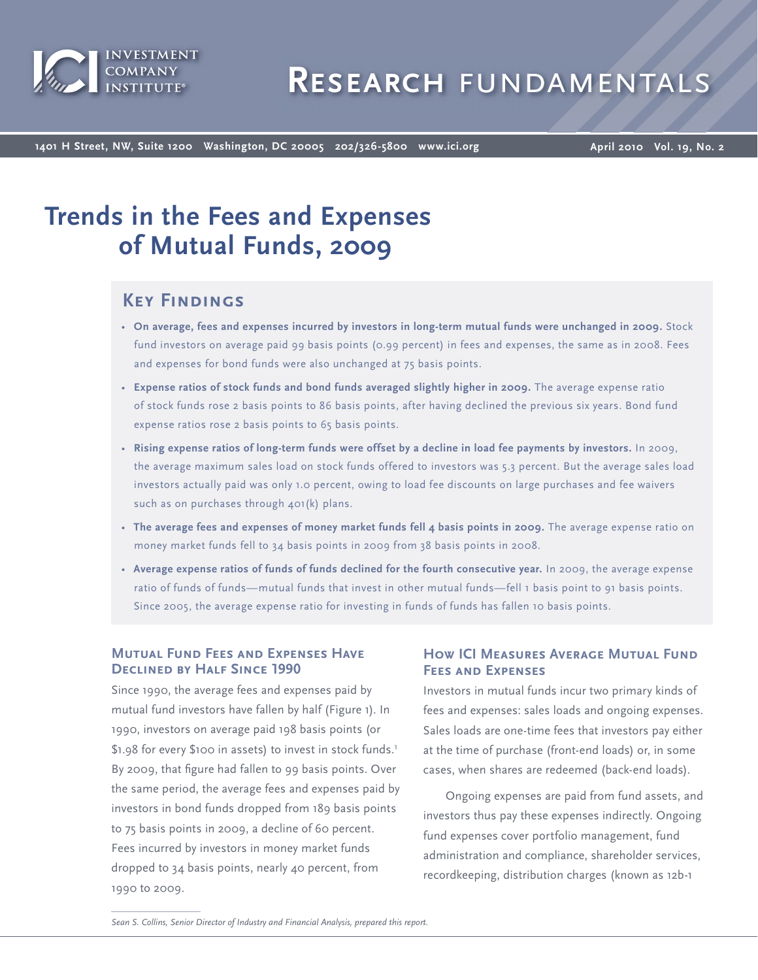

**1401 H Street, NW, Suite 1200 Washington, DC 20005 202/326-5800 www.ici.org**

**April 2010 Vol. 19, No. 2**

# **Trends in the Fees and Expenses of Mutual Funds, 2009**

## **Key Findings**

- **On average, fees and expenses incurred by investors in long-term mutual funds were unchanged in 2009.** Stock fund investors on average paid 99 basis points (0.99 percent) in fees and expenses, the same as in 2008. Fees and expenses for bond funds were also unchanged at 75 basis points.
- **Expense ratios of stock funds and bond funds averaged slightly higher in 2009.** The average expense ratio of stock funds rose 2 basis points to 86 basis points, after having declined the previous six years. Bond fund expense ratios rose 2 basis points to 65 basis points.
- **Rising expense ratios of long-term funds were offset by a decline in load fee payments by investors.** In 2009, the average maximum sales load on stock funds offered to investors was 5.3 percent. But the average sales load investors actually paid was only 1.0 percent, owing to load fee discounts on large purchases and fee waivers such as on purchases through 401(k) plans.
- **The average fees and expenses of money market funds fell 4 basis points in 2009.** The average expense ratio on money market funds fell to 34 basis points in 2009 from 38 basis points in 2008.
- **Average expense ratios of funds of funds declined for the fourth consecutive year.** In 2009, the average expense ratio of funds of funds—mutual funds that invest in other mutual funds—fell 1 basis point to 91 basis points. Since 2005, the average expense ratio for investing in funds of funds has fallen 10 basis points.

### **Mutual Fund Fees and Expenses Have Declined by Half Since 1990**

Since 1990, the average fees and expenses paid by mutual fund investors have fallen by half (Figure 1). In 1990, investors on average paid 198 basis points (or \$1.98 for every \$100 in assets) to invest in stock funds.<sup>1</sup> By 2009, that figure had fallen to 99 basis points. Over the same period, the average fees and expenses paid by investors in bond funds dropped from 189 basis points to 75 basis points in 2009, a decline of 60 percent. Fees incurred by investors in money market funds dropped to 34 basis points, nearly 40 percent, from 1990 to 2009.

### **How ICI Measures Average Mutual Fund Fees and Expenses**

Investors in mutual funds incur two primary kinds of fees and expenses: sales loads and ongoing expenses. Sales loads are one-time fees that investors pay either at the time of purchase (front-end loads) or, in some cases, when shares are redeemed (back-end loads).

Ongoing expenses are paid from fund assets, and investors thus pay these expenses indirectly. Ongoing fund expenses cover portfolio management, fund administration and compliance, shareholder services, recordkeeping, distribution charges (known as 12b-1

*Sean S. Collins, Senior Director of Industry and Financial Analysis, prepared this report.*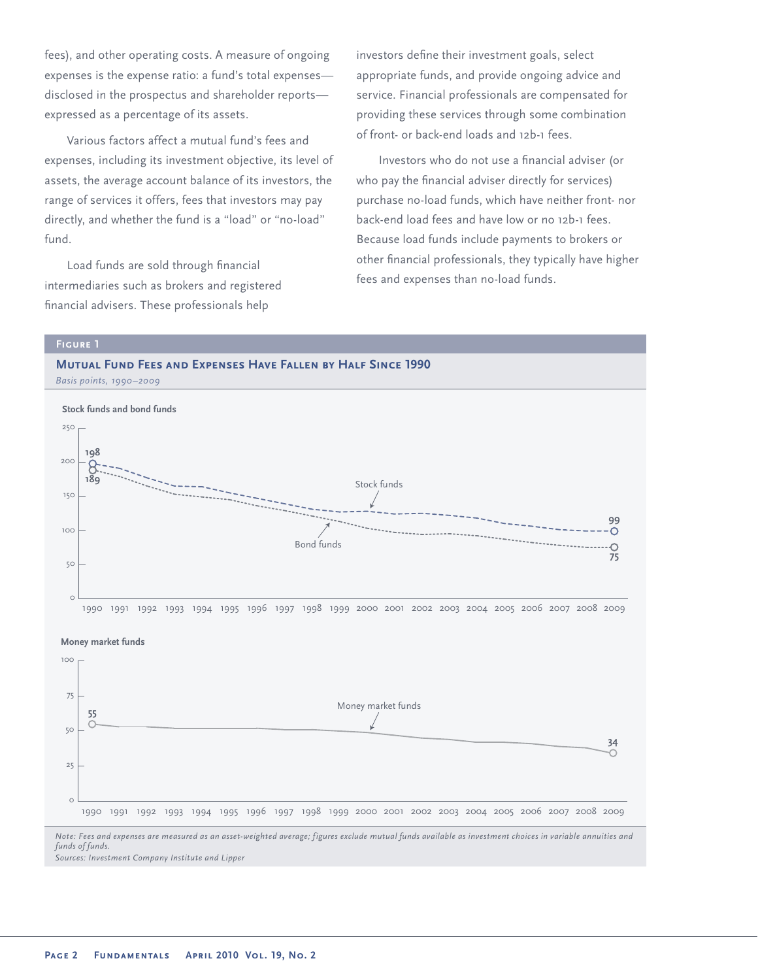fees), and other operating costs. A measure of ongoing expenses is the expense ratio: a fund's total expenses disclosed in the prospectus and shareholder reports expressed as a percentage of its assets.

Various factors affect a mutual fund's fees and expenses, including its investment objective, its level of assets, the average account balance of its investors, the range of services it offers, fees that investors may pay directly, and whether the fund is a "load" or "no-load" fund.

Load funds are sold through financial intermediaries such as brokers and registered financial advisers. These professionals help

investors define their investment goals, select appropriate funds, and provide ongoing advice and service. Financial professionals are compensated for providing these services through some combination of front- or back-end loads and 12b-1 fees.

Investors who do not use a financial adviser (or who pay the financial adviser directly for services) purchase no-load funds, which have neither front- nor back-end load fees and have low or no 12b-1 fees. Because load funds include payments to brokers or other financial professionals, they typically have higher fees and expenses than no-load funds.









*Note: Fees and expenses are measured as an asset-weighted average; figures exclude mutual funds available as investment choices in variable annuities and funds of funds.*

*Sources: Investment Company Institute and Lipper*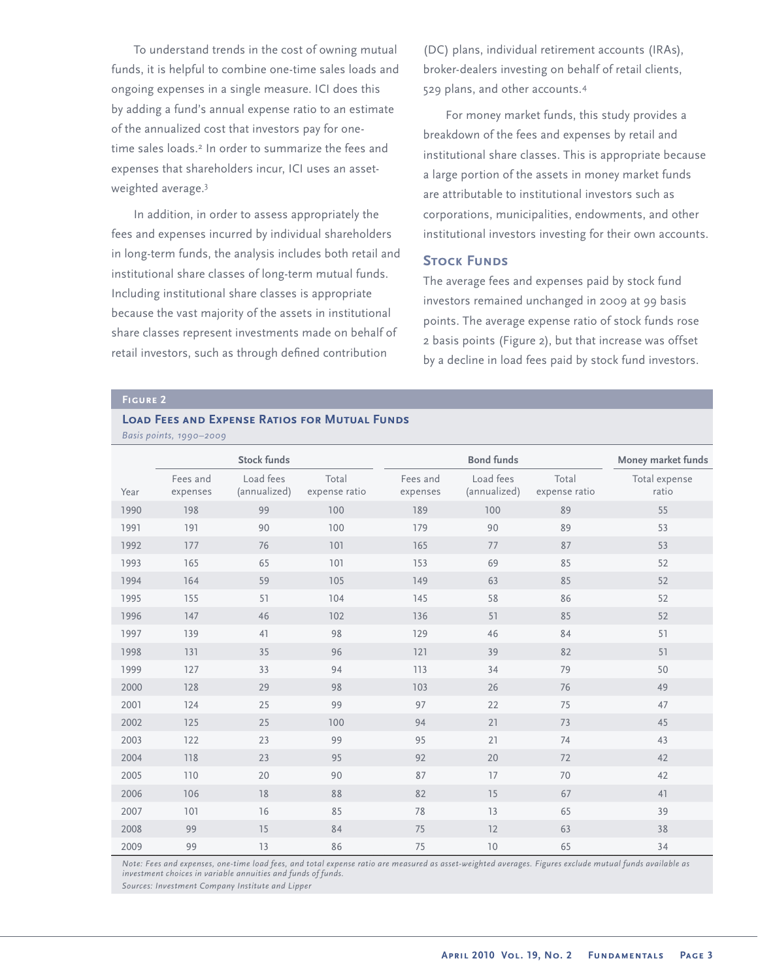To understand trends in the cost of owning mutual funds, it is helpful to combine one-time sales loads and ongoing expenses in a single measure. ICI does this by adding a fund's annual expense ratio to an estimate of the annualized cost that investors pay for onetime sales loads.<sup>2</sup> In order to summarize the fees and expenses that shareholders incur, ICI uses an assetweighted average.<sup>3</sup>

In addition, in order to assess appropriately the fees and expenses incurred by individual shareholders in long-term funds, the analysis includes both retail and institutional share classes of long-term mutual funds. Including institutional share classes is appropriate because the vast majority of the assets in institutional share classes represent investments made on behalf of retail investors, such as through defined contribution

(DC) plans, individual retirement accounts (IRAs), broker-dealers investing on behalf of retail clients, 529 plans, and other accounts.<sup>4</sup>

For money market funds, this study provides a breakdown of the fees and expenses by retail and institutional share classes. This is appropriate because a large portion of the assets in money market funds are attributable to institutional investors such as corporations, municipalities, endowments, and other institutional investors investing for their own accounts.

#### **STOCK FUNDS**

The average fees and expenses paid by stock fund investors remained unchanged in 2009 at 99 basis points. The average expense ratio of stock funds rose 2 basis points (Figure 2), but that increase was offset by a decline in load fees paid by stock fund investors.

#### **Load Fees and Expense Ratios for Mutual Funds**

|      | <b>Stock funds</b>   |                           |                        |                      | <b>Bond funds</b>         | Money market funds     |                        |
|------|----------------------|---------------------------|------------------------|----------------------|---------------------------|------------------------|------------------------|
| Year | Fees and<br>expenses | Load fees<br>(annualized) | Total<br>expense ratio | Fees and<br>expenses | Load fees<br>(annualized) | Total<br>expense ratio | Total expense<br>ratio |
| 1990 | 198                  | 99                        | 100                    | 189                  | 100                       | 89                     | 55                     |
| 1991 | 191                  | 90                        | 100                    | 179                  | 90                        | 89                     | 53                     |
| 1992 | 177                  | 76                        | 101                    | 165                  | 77                        | 87                     | 53                     |
| 1993 | 165                  | 65                        | 101                    | 153                  | 69                        | 85                     | 52                     |
| 1994 | 164                  | 59                        | 105                    | 149                  | 63                        | 85                     | 52                     |
| 1995 | 155                  | 51                        | 104                    | 145                  | 58                        | 86                     | 52                     |
| 1996 | 147                  | 46                        | 102                    | 136                  | 51                        | 85                     | 52                     |
| 1997 | 139                  | 41                        | 98                     | 129                  | 46                        | 84                     | 51                     |
| 1998 | 131                  | 35                        | 96                     | 121                  | 39                        | 82                     | 51                     |
| 1999 | 127                  | 33                        | 94                     | 113                  | 34                        | 79                     | 50                     |
| 2000 | 128                  | 29                        | 98                     | 103                  | 26                        | 76                     | 49                     |
| 2001 | 124                  | 25                        | 99                     | 97                   | 22                        | 75                     | 47                     |
| 2002 | 125                  | 25                        | 100                    | 94                   | 21                        | 73                     | 45                     |
| 2003 | 122                  | 23                        | 99                     | 95                   | 21                        | 74                     | 43                     |
| 2004 | 118                  | 23                        | 95                     | 92                   | 20                        | 72                     | 42                     |
| 2005 | 110                  | 20                        | 90                     | 87                   | 17                        | 70                     | 42                     |
| 2006 | 106                  | 18                        | 88                     | 82                   | 15                        | 67                     | 41                     |
| 2007 | 101                  | 16                        | 85                     | 78                   | 13                        | 65                     | 39                     |
| 2008 | 99                   | 15                        | 84                     | 75                   | 12                        | 63                     | 38                     |
| 2009 | 99                   | 13                        | 86                     | 75                   | 10                        | 65                     | 34                     |

*Basis points, 1990–2009*

*Note: Fees and expenses, one-time load fees, and total expense ratio are measured as asset-weighted averages. Figures exclude mutual funds available as investment choices in variable annuities and funds of funds.*

*Sources: Investment Company Institute and Lipper*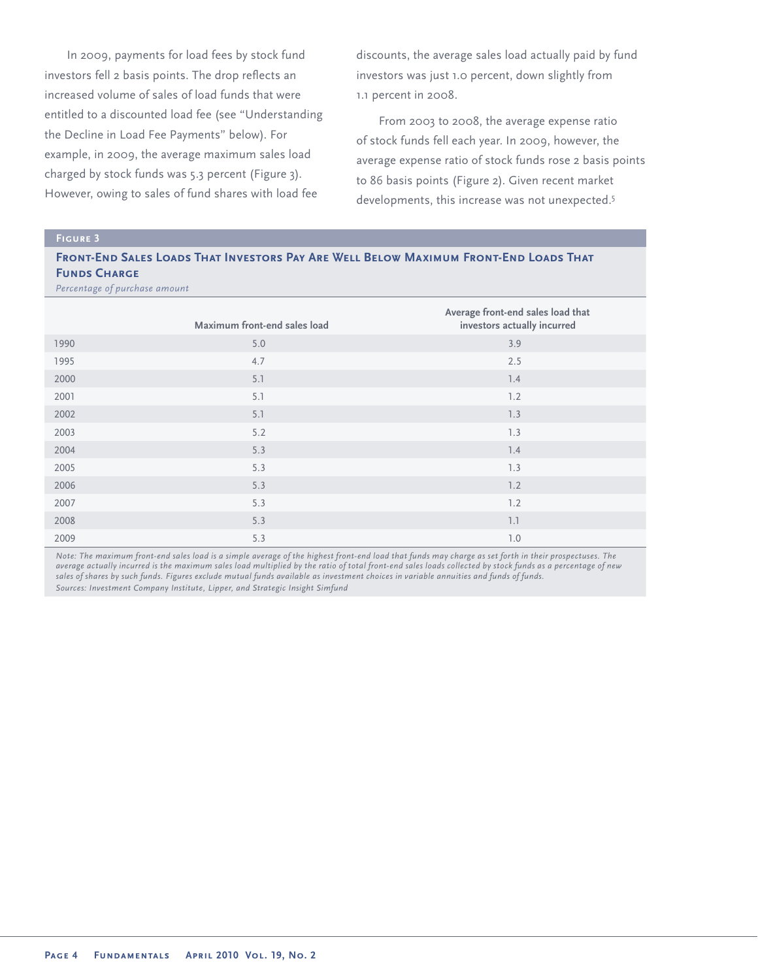In 2009, payments for load fees by stock fund investors fell 2 basis points. The drop reflects an increased volume of sales of load funds that were entitled to a discounted load fee (see "Understanding the Decline in Load Fee Payments" below). For example, in 2009, the average maximum sales load charged by stock funds was 5.3 percent (Figure 3). However, owing to sales of fund shares with load fee

discounts, the average sales load actually paid by fund investors was just 1.0 percent, down slightly from 1.1 percent in 2008.

From 2003 to 2008, the average expense ratio of stock funds fell each year. In 2009, however, the average expense ratio of stock funds rose 2 basis points to 86 basis points (Figure 2). Given recent market developments, this increase was not unexpected.<sup>5</sup>

#### **Figure 3**

#### **Front-End Sales Loads That Investors Pay Are Well Below Maximum Front-End Loads That FUNDS CHARGE**

*Percentage of purchase amount*

|      | Maximum front-end sales load | Average front-end sales load that<br>investors actually incurred |
|------|------------------------------|------------------------------------------------------------------|
| 1990 | 5.0                          | 3.9                                                              |
| 1995 | 4.7                          | 2.5                                                              |
| 2000 | 5.1                          | 1.4                                                              |
| 2001 | 5.1                          | 1.2                                                              |
| 2002 | 5.1                          | 1.3                                                              |
| 2003 | 5.2                          | 1.3                                                              |
| 2004 | 5.3                          | 7.4                                                              |
| 2005 | 5.3                          | 1.3                                                              |
| 2006 | 5.3                          | 1.2                                                              |
| 2007 | 5.3                          | 1.2                                                              |
| 2008 | 5.3                          | 1.1                                                              |
| 2009 | 5.3                          | 7.0                                                              |

*Note: The maximum front-end sales load is a simple average of the highest front-end load that funds may charge as set forth in their prospectuses. The average actually incurred is the maximum sales load multiplied by the ratio of total front-end sales loads collected by stock funds as a percentage of new sales of shares by such funds. Figures exclude mutual funds available as investment choices in variable annuities and funds of funds. Sources: Investment Company Institute, Lipper, and Strategic Insight Simfund*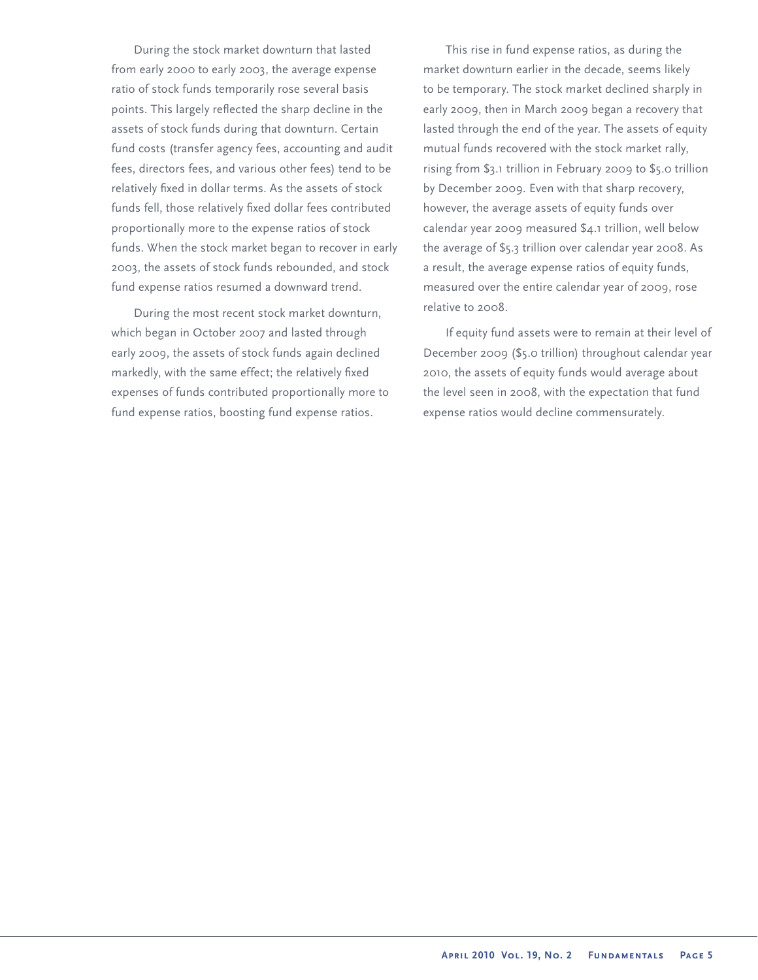During the stock market downturn that lasted from early 2000 to early 2003, the average expense ratio of stock funds temporarily rose several basis points. This largely reflected the sharp decline in the assets of stock funds during that downturn. Certain fund costs (transfer agency fees, accounting and audit fees, directors fees, and various other fees) tend to be relatively fixed in dollar terms. As the assets of stock funds fell, those relatively fixed dollar fees contributed proportionally more to the expense ratios of stock funds. When the stock market began to recover in early 2003, the assets of stock funds rebounded, and stock fund expense ratios resumed a downward trend.

During the most recent stock market downturn, which began in October 2007 and lasted through early 2009, the assets of stock funds again declined markedly, with the same effect; the relatively fixed expenses of funds contributed proportionally more to fund expense ratios, boosting fund expense ratios.

This rise in fund expense ratios, as during the market downturn earlier in the decade, seems likely to be temporary. The stock market declined sharply in early 2009, then in March 2009 began a recovery that lasted through the end of the year. The assets of equity mutual funds recovered with the stock market rally, rising from \$3.1 trillion in February 2009 to \$5.0 trillion by December 2009. Even with that sharp recovery, however, the average assets of equity funds over calendar year 2009 measured \$4.1 trillion, well below the average of \$5.3 trillion over calendar year 2008. As a result, the average expense ratios of equity funds, measured over the entire calendar year of 2009, rose relative to 2008.

If equity fund assets were to remain at their level of December 2009 (\$5.0 trillion) throughout calendar year 2010, the assets of equity funds would average about the level seen in 2008, with the expectation that fund expense ratios would decline commensurately.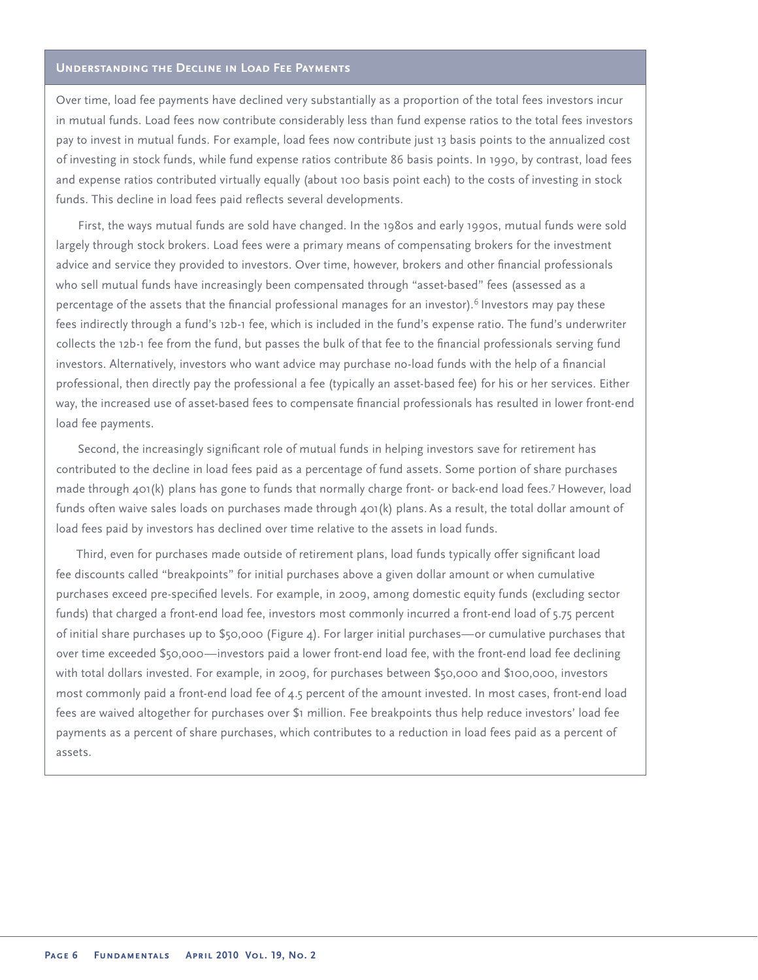#### **Understanding the Decline in Load Fee Payments**

Over time, load fee payments have declined very substantially as a proportion of the total fees investors incur in mutual funds. Load fees now contribute considerably less than fund expense ratios to the total fees investors pay to invest in mutual funds. For example, load fees now contribute just 13 basis points to the annualized cost of investing in stock funds, while fund expense ratios contribute 86 basis points. In 1990, by contrast, load fees and expense ratios contributed virtually equally (about 100 basis point each) to the costs of investing in stock funds. This decline in load fees paid reflects several developments.

First, the ways mutual funds are sold have changed. In the 1980s and early 1990s, mutual funds were sold largely through stock brokers. Load fees were a primary means of compensating brokers for the investment advice and service they provided to investors. Over time, however, brokers and other financial professionals who sell mutual funds have increasingly been compensated through "asset-based" fees (assessed as a percentage of the assets that the financial professional manages for an investor).<sup>6</sup> Investors may pay these fees indirectly through a fund's 12b-1 fee, which is included in the fund's expense ratio. The fund's underwriter collects the 12b-1 fee from the fund, but passes the bulk of that fee to the financial professionals serving fund investors. Alternatively, investors who want advice may purchase no-load funds with the help of a financial professional, then directly pay the professional a fee (typically an asset-based fee) for his or her services. Either way, the increased use of asset-based fees to compensate financial professionals has resulted in lower front-end load fee payments.

Second, the increasingly significant role of mutual funds in helping investors save for retirement has contributed to the decline in load fees paid as a percentage of fund assets. Some portion of share purchases made through 401(k) plans has gone to funds that normally charge front- or back-end load fees.<sup>7</sup>However, load funds often waive sales loads on purchases made through 401(k) plans. As a result, the total dollar amount of load fees paid by investors has declined over time relative to the assets in load funds.

Third, even for purchases made outside of retirement plans, load funds typically offer significant load fee discounts called "breakpoints" for initial purchases above a given dollar amount or when cumulative purchases exceed pre-specified levels. For example, in 2009, among domestic equity funds (excluding sector funds) that charged a front-end load fee, investors most commonly incurred a front-end load of 5.75 percent of initial share purchases up to \$50,000 (Figure 4). For larger initial purchases—or cumulative purchases that over time exceeded \$50,000—investors paid a lower front-end load fee, with the front-end load fee declining with total dollars invested. For example, in 2009, for purchases between \$50,000 and \$100,000, investors most commonly paid a front-end load fee of 4.5 percent of the amount invested. In most cases, front-end load fees are waived altogether for purchases over \$1 million. Fee breakpoints thus help reduce investors' load fee payments as a percent of share purchases, which contributes to a reduction in load fees paid as a percent of assets.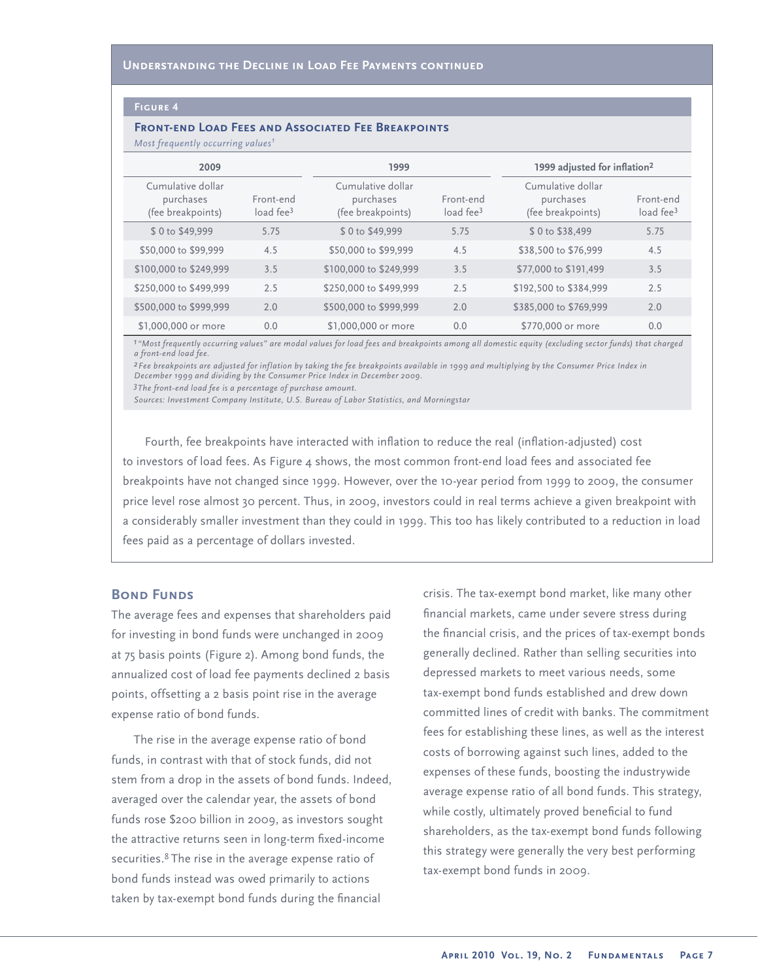#### **Figure 4**

#### **Front-end Load Fees and Associated Fee Breakpoints**

*Most frequently occurring values<sup>1</sup>*

| 2009                                                |                                    | 1999                                                |                                    | 1999 adjusted for inflation <sup>2</sup>            |                                    |
|-----------------------------------------------------|------------------------------------|-----------------------------------------------------|------------------------------------|-----------------------------------------------------|------------------------------------|
| Cumulative dollar<br>purchases<br>(fee breakpoints) | Front-end<br>load fee <sup>3</sup> | Cumulative dollar<br>purchases<br>(fee breakpoints) | Front-end<br>load fee <sup>3</sup> | Cumulative dollar<br>purchases<br>(fee breakpoints) | Front-end<br>load fee <sup>3</sup> |
| \$0 to \$49,999                                     | 5.75                               | \$0 to \$49,999                                     | 5.75                               | \$0 to \$38,499                                     | 5.75                               |
| \$50,000 to \$99,999                                | 4.5                                | \$50,000 to \$99,999                                | 4.5                                | \$38,500 to \$76,999                                | 4.5                                |
| \$100,000 to \$249,999                              | 3.5                                | \$100,000 to \$249,999                              | 3.5                                | \$77,000 to \$191,499                               | 3.5                                |
| \$250,000 to \$499,999                              | 2.5                                | \$250,000 to \$499,999                              | 2.5                                | \$192,500 to \$384,999                              | 2.5                                |
| \$500,000 to \$999,999                              | 2.0                                | \$500,000 to \$999,999                              | 2.0                                | \$385,000 to \$769,999                              | 2.0                                |
| \$1,000,000 or more                                 | 0.0                                | \$1,000,000 or more                                 | 0.0                                | \$770,000 or more                                   | 0.0                                |

*1"Most frequently occurring values" are modal values for load fees and breakpoints among all domestic equity (excluding sector funds) that charged a front-end load fee.*

*2Fee breakpoints are adjusted for inflation by taking the fee breakpoints available in 1999 and multiplying by the Consumer Price Index in December 1999 and dividing by the Consumer Price Index in December 2009.*

*3The front-end load fee is a percentage of purchase amount.*

*Sources: Investment Company Institute, U.S. Bureau of Labor Statistics, and Morningstar*

Fourth, fee breakpoints have interacted with inflation to reduce the real (inflation-adjusted) cost to investors of load fees. As Figure 4 shows, the most common front-end load fees and associated fee breakpoints have not changed since 1999. However, over the 10-year period from 1999 to 2009, the consumer price level rose almost 30 percent. Thus, in 2009, investors could in real terms achieve a given breakpoint with a considerably smaller investment than they could in 1999. This too has likely contributed to a reduction in load fees paid as a percentage of dollars invested.

#### **BOND FUNDS**

The average fees and expenses that shareholders paid for investing in bond funds were unchanged in 2009 at 75 basis points (Figure 2). Among bond funds, the annualized cost of load fee payments declined 2 basis points, offsetting a 2 basis point rise in the average expense ratio of bond funds.

The rise in the average expense ratio of bond funds, in contrast with that of stock funds, did not stem from a drop in the assets of bond funds. Indeed, averaged over the calendar year, the assets of bond funds rose \$200 billion in 2009, as investors sought the attractive returns seen in long-term fixed-income securities.<sup>8</sup> The rise in the average expense ratio of bond funds instead was owed primarily to actions taken by tax-exempt bond funds during the financial

crisis. The tax-exempt bond market, like many other financial markets, came under severe stress during the financial crisis, and the prices of tax-exempt bonds generally declined. Rather than selling securities into depressed markets to meet various needs, some tax-exempt bond funds established and drew down committed lines of credit with banks. The commitment fees for establishing these lines, as well as the interest costs of borrowing against such lines, added to the expenses of these funds, boosting the industrywide average expense ratio of all bond funds. This strategy, while costly, ultimately proved beneficial to fund shareholders, as the tax-exempt bond funds following this strategy were generally the very best performing tax-exempt bond funds in 2009.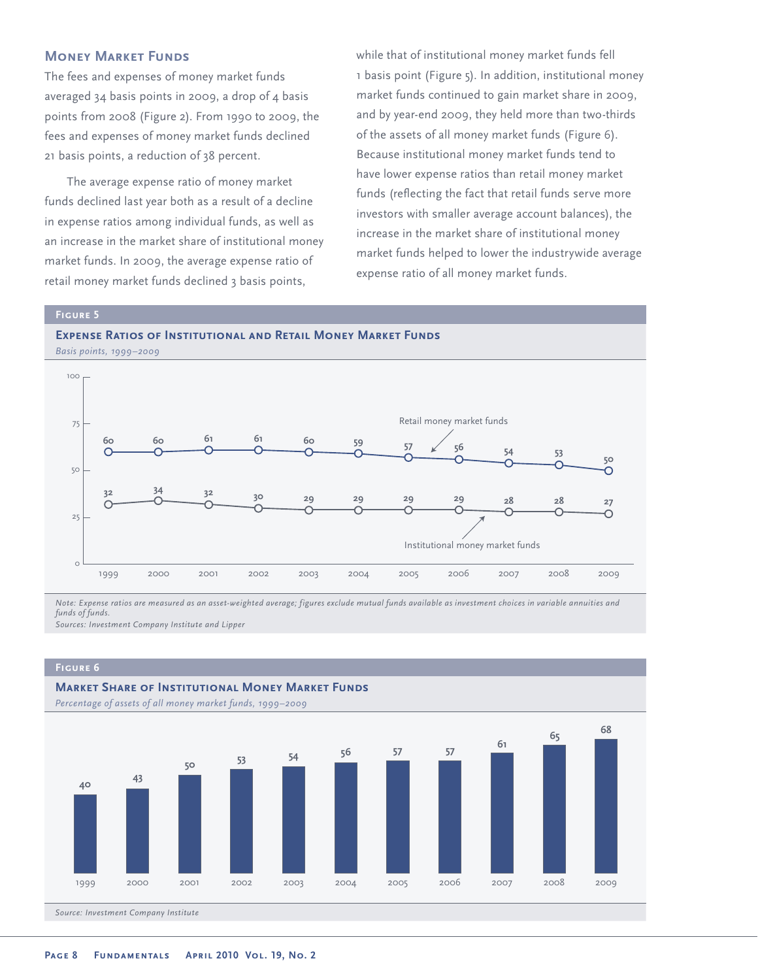#### **Money Market Funds**

The fees and expenses of money market funds averaged 34 basis points in 2009, a drop of 4 basis points from 2008 (Figure 2). From 1990 to 2009, the fees and expenses of money market funds declined 21 basis points, a reduction of 38 percent.

The average expense ratio of money market funds declined last year both as a result of a decline in expense ratios among individual funds, as well as an increase in the market share of institutional money market funds. In 2009, the average expense ratio of retail money market funds declined 3 basis points,

while that of institutional money market funds fell 1 basis point (Figure 5). In addition, institutional money market funds continued to gain market share in 2009, and by year-end 2009, they held more than two-thirds of the assets of all money market funds (Figure 6). Because institutional money market funds tend to have lower expense ratios than retail money market funds (reflecting the fact that retail funds serve more investors with smaller average account balances), the increase in the market share of institutional money market funds helped to lower the industrywide average expense ratio of all money market funds.

#### **Figure 5**





*Note: Expense ratios are measured as an asset-weighted average; figures exclude mutual funds available as investment choices in variable annuities and funds of funds. Sources: Investment Company Institute and Lipper*

#### **Figure 6**

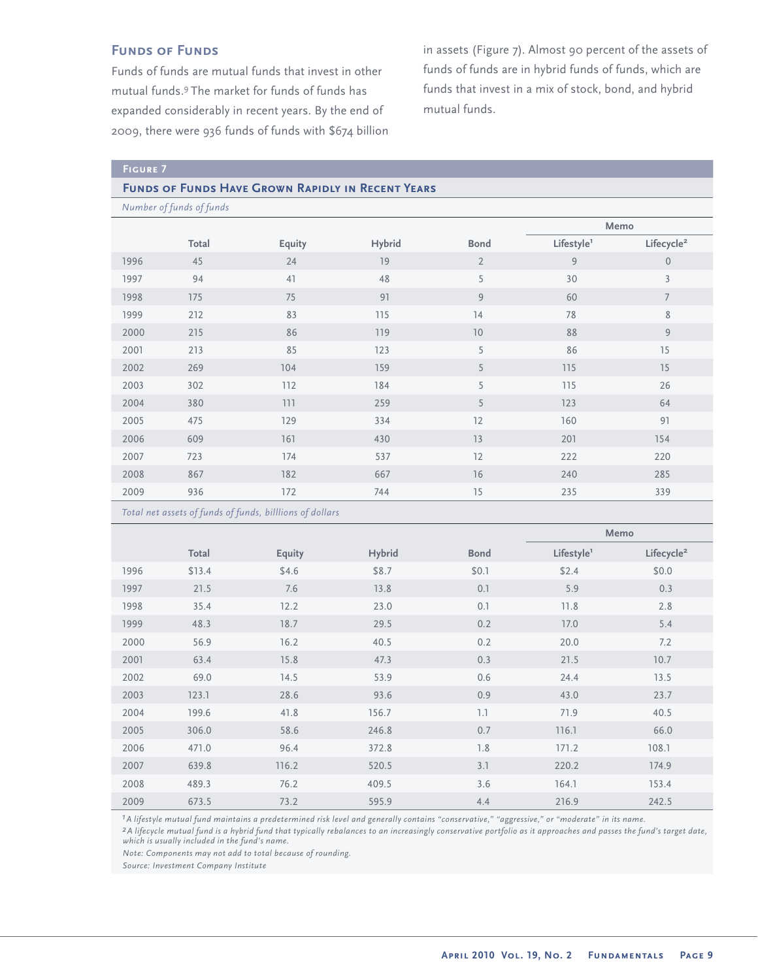### **FUNDS OF FUNDS**

Funds of funds are mutual funds that invest in other mutual funds.<sup>9</sup>The market for funds of funds has expanded considerably in recent years. By the end of 2009, there were 936 funds of funds with \$674 billion in assets (Figure 7). Almost 90 percent of the assets of funds of funds are in hybrid funds of funds, which are funds that invest in a mix of stock, bond, and hybrid mutual funds.

#### **Funds of Funds Have Grown Rapidly in Recent Years**

*Number of funds of funds*

|      |       |        |        |                | Memo                   |                        |
|------|-------|--------|--------|----------------|------------------------|------------------------|
|      | Total | Equity | Hybrid | <b>Bond</b>    | Lifestyle <sup>1</sup> | Lifecycle <sup>2</sup> |
| 1996 | 45    | 24     | 19     | $\overline{2}$ | 9                      | $\mathbf{0}$           |
| 1997 | 94    | 41     | 48     | 5              | 30                     | 3                      |
| 1998 | 175   | 75     | 91     | 9              | 60                     | $\overline{7}$         |
| 1999 | 212   | 83     | 115    | 14             | 78                     | 8                      |
| 2000 | 215   | 86     | 119    | 10             | 88                     | $\overline{9}$         |
| 2001 | 213   | 85     | 123    | 5              | 86                     | 15                     |
| 2002 | 269   | 104    | 159    | 5              | 115                    | 15                     |
| 2003 | 302   | 112    | 184    | 5              | 115                    | 26                     |
| 2004 | 380   | 111    | 259    | 5              | 123                    | 64                     |
| 2005 | 475   | 129    | 334    | 12             | 160                    | 91                     |
| 2006 | 609   | 161    | 430    | 13             | 201                    | 154                    |
| 2007 | 723   | 174    | 537    | 12             | 222                    | 220                    |
| 2008 | 867   | 182    | 667    | 16             | 240                    | 285                    |
| 2009 | 936   | 172    | 744    | 15             | 235                    | 339                    |

*Total net assets of funds of funds, billlions of dollars*

|      |        |        |               |             | Memo                   |                        |
|------|--------|--------|---------------|-------------|------------------------|------------------------|
|      | Total  | Equity | <b>Hybrid</b> | <b>Bond</b> | Lifestyle <sup>1</sup> | Lifecycle <sup>2</sup> |
| 1996 | \$13.4 | \$4.6  | \$8.7         | \$0.1       | \$2.4                  | \$0.0                  |
| 1997 | 21.5   | 7.6    | 13.8          | 0.1         | 5.9                    | 0.3                    |
| 1998 | 35.4   | 12.2   | 23.0          | 0.1         | 11.8                   | 2.8                    |
| 1999 | 48.3   | 18.7   | 29.5          | 0.2         | 17.0                   | 5.4                    |
| 2000 | 56.9   | 16.2   | 40.5          | 0.2         | 20.0                   | 7.2                    |
| 2001 | 63.4   | 15.8   | 47.3          | 0.3         | 21.5                   | 10.7                   |
| 2002 | 69.0   | 14.5   | 53.9          | 0.6         | 24.4                   | 13.5                   |
| 2003 | 123.1  | 28.6   | 93.6          | 0.9         | 43.0                   | 23.7                   |
| 2004 | 199.6  | 41.8   | 156.7         | 1.1         | 71.9                   | 40.5                   |
| 2005 | 306.0  | 58.6   | 246.8         | 0.7         | 116.1                  | 66.0                   |
| 2006 | 471.0  | 96.4   | 372.8         | 7.8         | 171.2                  | 108.1                  |
| 2007 | 639.8  | 116.2  | 520.5         | 3.1         | 220.2                  | 174.9                  |
| 2008 | 489.3  | 76.2   | 409.5         | 3.6         | 164.1                  | 153.4                  |
| 2009 | 673.5  | 73.2   | 595.9         | 4.4         | 216.9                  | 242.5                  |

*1A lifestyle mutual fund maintains a predetermined risk level and generally contains "conservative," "aggressive," or "moderate" in its name.*

*2A lifecycle mutual fund is a hybrid fund that typically rebalances to an increasingly conservative portfolio as it approaches and passes the fund's target date, which is usually included in the fund's name.*

*Note: Components may not add to total because of rounding.*

*Source: Investment Company Institute*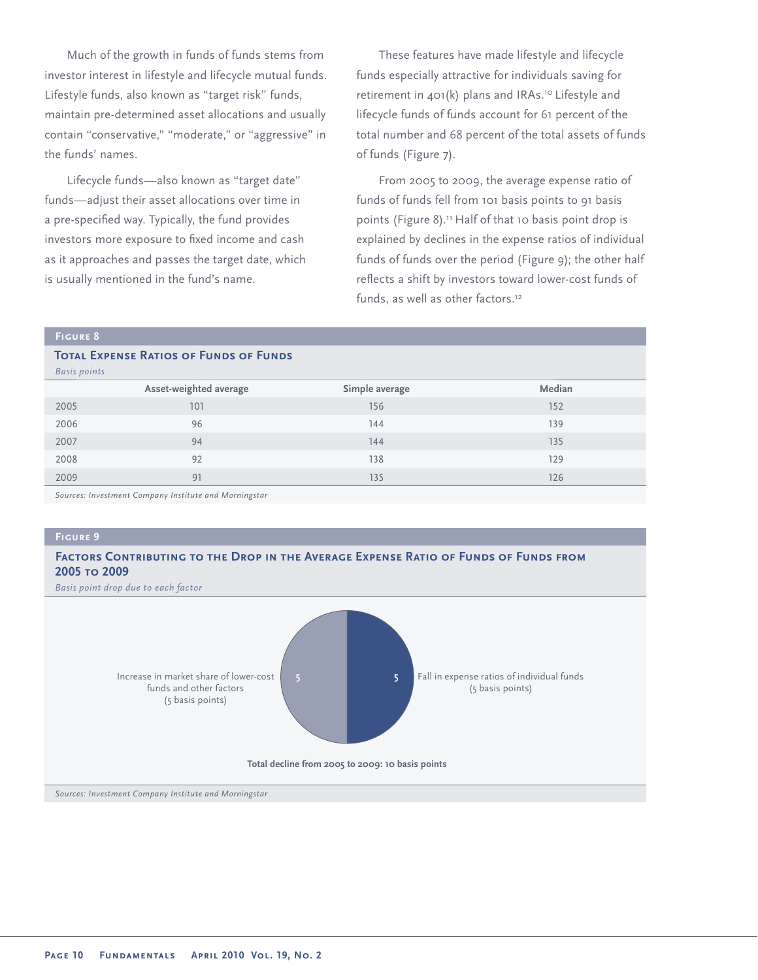Much of the growth in funds of funds stems from investor interest in lifestyle and lifecycle mutual funds. Lifestyle funds, also known as "target risk" funds, maintain pre-determined asset allocations and usually contain "conservative," "moderate," or "aggressive" in the funds' names.

Lifecycle funds—also known as "target date" funds—adjust their asset allocations over time in a pre-specified way. Typically, the fund provides investors more exposure to fixed income and cash as it approaches and passes the target date, which is usually mentioned in the fund's name.

These features have made lifestyle and lifecycle funds especially attractive for individuals saving for retirement in 401(k) plans and IRAs.<sup>10</sup> Lifestyle and lifecycle funds of funds account for 61 percent of the total number and 68 percent of the total assets of funds of funds (Figure 7).

From 2005 to 2009, the average expense ratio of funds of funds fell from 101 basis points to 91 basis points (Figure 8).<sup>11</sup> Half of that 10 basis point drop is explained by declines in the expense ratios of individual funds of funds over the period (Figure 9); the other half reflects a shift by investors toward lower-cost funds of funds, as well as other factors.<sup>12</sup>

#### **Figure 8**

#### **TOTAL EXPENSE RATIOS OF FUNDS OF FUNDS** *Basis points*

| ____ |                        |                |        |
|------|------------------------|----------------|--------|
|      | Asset-weighted average | Simple average | Median |
| 2005 | 101                    | 156            | 152    |
| 2006 | 96                     | 144            | 139    |
| 2007 | 94                     | 144            | 135    |
| 2008 | 92                     | 138            | 129    |
| 2009 | 91                     | 135            | 126    |
|      |                        |                |        |

*Sources: Investment Company Institute and Morningstar*

**Figure 9**

#### **Factors Contributing to the Drop in the Average Expense Ratio of Funds of Funds from 2005 to 2009**

*Basis point drop due to each factor*

![](_page_9_Figure_11.jpeg)

*Sources: Investment Company Institute and Morningstar*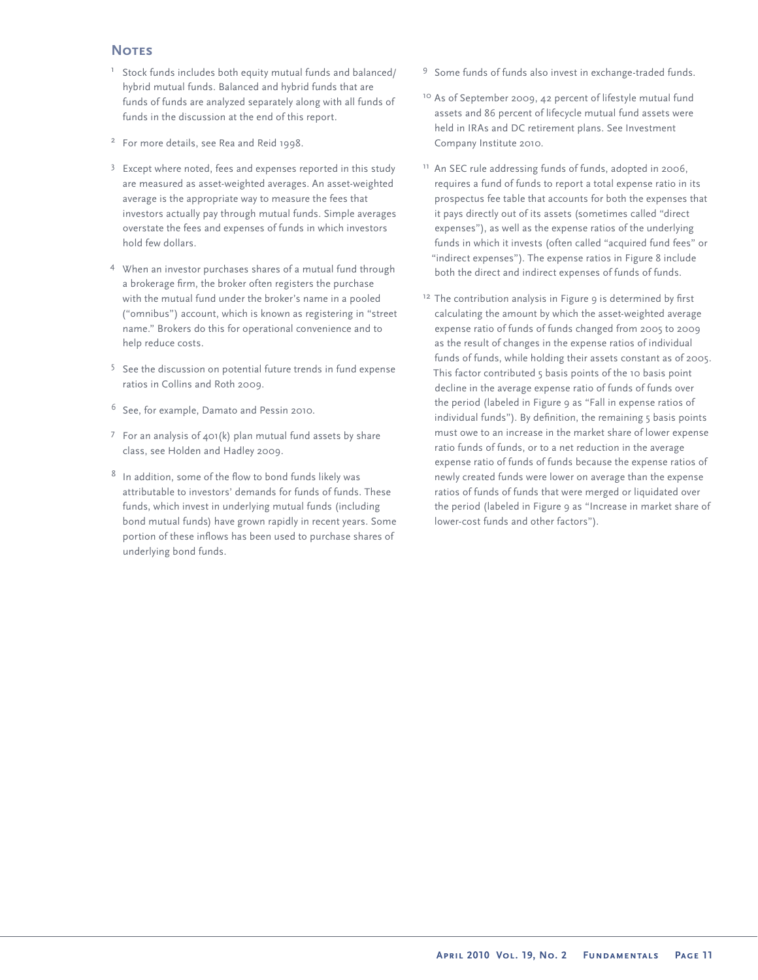#### **Notes**

- <sup>1</sup> Stock funds includes both equity mutual funds and balanced/ hybrid mutual funds. Balanced and hybrid funds that are funds of funds are analyzed separately along with all funds of funds in the discussion at the end of this report.
- <sup>2</sup> For more details, see Rea and Reid 1998.
- $3$  Except where noted, fees and expenses reported in this study are measured as asset-weighted averages. An asset-weighted average is the appropriate way to measure the fees that investors actually pay through mutual funds. Simple averages overstate the fees and expenses of funds in which investors hold few dollars.
- <sup>4</sup> When an investor purchases shares of a mutual fund through a brokerage firm, the broker often registers the purchase with the mutual fund under the broker's name in a pooled ("omnibus") account, which is known as registering in "street name." Brokers do this for operational convenience and to help reduce costs.
- <sup>5</sup> See the discussion on potential future trends in fund expense ratios in Collins and Roth 2009.
- $6$  See, for example, Damato and Pessin 2010.
- $7$  For an analysis of  $401(k)$  plan mutual fund assets by share class, see Holden and Hadley 2009.
- $8$  In addition, some of the flow to bond funds likely was attributable to investors' demands for funds of funds. These funds, which invest in underlying mutual funds (including bond mutual funds) have grown rapidly in recent years. Some portion of these inflows has been used to purchase shares of underlying bond funds.
- <sup>9</sup> Some funds of funds also invest in exchange-traded funds.
- <sup>10</sup> As of September 2009, 42 percent of lifestyle mutual fund assets and 86 percent of lifecycle mutual fund assets were held in IRAs and DC retirement plans. See Investment Company Institute 2010.
- <sup>11</sup> An SEC rule addressing funds of funds, adopted in 2006, requires a fund of funds to report a total expense ratio in its prospectus fee table that accounts for both the expenses that it pays directly out of its assets (sometimes called "direct expenses"), as well as the expense ratios of the underlying funds in which it invests (often called "acquired fund fees" or "indirect expenses"). The expense ratios in Figure 8 include both the direct and indirect expenses of funds of funds.
- <sup>12</sup> The contribution analysis in Figure 9 is determined by first calculating the amount by which the asset-weighted average expense ratio of funds of funds changed from 2005 to 2009 as the result of changes in the expense ratios of individual funds of funds, while holding their assets constant as of 2005. This factor contributed 5 basis points of the 10 basis point decline in the average expense ratio of funds of funds over the period (labeled in Figure 9 as "Fall in expense ratios of individual funds"). By definition, the remaining 5 basis points must owe to an increase in the market share of lower expense ratio funds of funds, or to a net reduction in the average expense ratio of funds of funds because the expense ratios of newly created funds were lower on average than the expense ratios of funds of funds that were merged or liquidated over the period (labeled in Figure 9 as "Increase in market share of lower-cost funds and other factors").